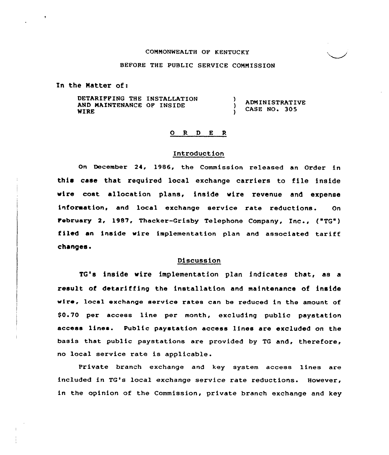#### COMMONWEALTH OF KENTUCKY

## BEFORE THE PUBLIC SERVICE COMMISSION

In the Matter of:

DETARIPPING THE INSTALLATION -1 ADMINISTRATIVE AND MAINTENANCE OP INSIDE <sup>1</sup> CASE NO. 305 WIRE

### 0 <sup>R</sup> <sup>D</sup> <sup>E</sup> <sup>R</sup>

## Introduction

On December 24, 1986, the Commission released an Order in this case that required local exchange carriers to file inside wire cost allocation plans, inside wire revenue and expense information, and local exchange service rate reductions. On february 2, 1987, Thacker-Grisby Telephone Company, Inc , ("TQ") filed an inside wire implementation plan and associated tariff changes.<br>Changes.

TG's inside wire implementation plan indicates that, as a result of detariffing the installation and maintenance of inside wire, local exchange service rates can be reduced in the amount of \$0.70 per access line per month, excluding public paystation access lines. Public paystation access lines are excluded on the basis that public paystations are provided by TG and, therefore, no local service rate is applicable.

Private branch exchange and key system access lines are included in TG's local exchange service rate reductions. However, in the opinion of the Commission, private branch exchange and key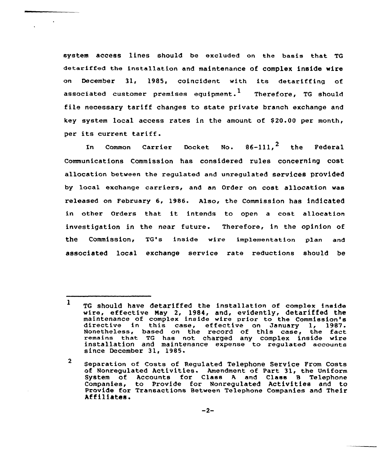system access lines should be excluded on the basis that TG detariffed the installation and maintenance of complex inside wire on December 31, )985, coincident with its detariffing of associated customer premises equipment.<sup>1</sup> Therefore, TG should file necessary tariff changes to state private branch exchange and key system local access rates in the amount of \$ 20.00 per month, per its current tariff.

In Common Carrier Docket. No.  $86-111.$ <sup>2</sup> the Federal Communications Commission has considered rules concerning cost allocation between the regulated and unregulated services provided by local exchange carriers, and an Order on cost allocation was released on February 6, 1986. Also, the Commission has indicated in other Orders that it intends to open a cost allocation investigation in the near future. Therefore, in the opinion of the Commission, TG's inside wire implementation plan and associated local exchange service rate reductions should be

<sup>1</sup> TG should have detariffed the installation of complex inside wire, effective May 2, 1984, and, evidently, detariffed the maintenance of complex inside wire prior to the Commission's maintenance of complex inside wire prior to the Commission's directive in this case, effective on January 1, 1987. Nonetheless, based on the record of this ease, the fact remains that TG has not charged any complex inside wire installation and maintenance expense to regulated accounts since December 31, 1985.

<sup>2</sup> Separation of Costs of Regulated Telephone Service Prom Costs of Nonregulated Activities. Amendment of Part 31, the Uniform System of Accounts for Class <sup>A</sup> and Class B Telephone Companies, to Provide for Nonregulated Activities and to Provide for Transactions Between Telephone Companies and Their<br>Affiliates.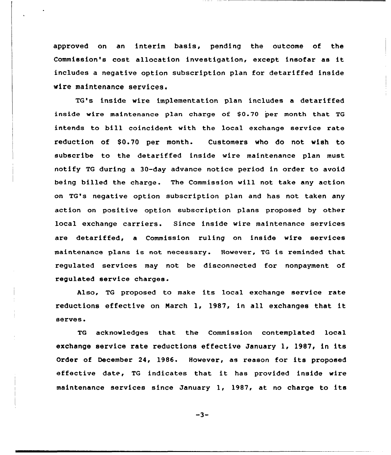approved on an interim basis, pending the outcome of the Commission's cost allocation investigation, except insofar as it includes a negative option subscription plan for detariffed inside wire maintenance services.

TG's inside wire implementation plan includes a detariffed inside wire maintenance plan charge of \$0.70 per month that TG intends to bill coincident with the local exchange service rate reduction of \$0.70 per month. Customers who do not wish to subscribe to the detariffed inside wire maintenance plan must notify TG during a 30-day advance notice period in order to avoid being billed the charge. The Commission will not take any action on TG's negative option subscription plan and has not taken any action on positive option subscription plans proposed by other local exchange carriers. Since inside wire maintenance services are detariffed, a Commission ruling on inside wire services maintenance plans is not necessary. However, TQ is reminded that regulated services may not be disconnected for nonpayment of regulated service charges.

Also, TG proposed to make its local exchange service rate reductions effective on March 1, 1987, in all exchanges that it serves.

TG acknowledges that the Commission contemplated local exchange service rate reductions effective January 1, 1987, in its Order of December 24, 1986. However, as reason for its proposed effective date, TG indicates that it has provided inside wire maintenance services since January 1, 1987, at no charge to its

 $-3-$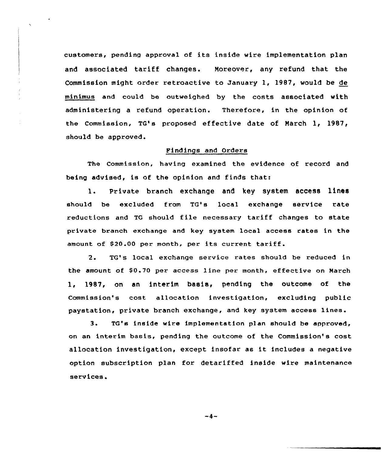customers, pendinq approval of its inside wire implementation plan and associated tariff changes. Moreover, any refund that the Commission might order retroactive to January 1, 1987, would be de minimus and could be outweighed by the costs associated with administering a refund operation. Therefore, in the opinion of the Commission, TG's proposed effective date of March 1, 1987, should be approved.

# Findings and Orders

The Commission, having examined the evidence of record and being advised, is of the opinion and finds that:

1. private branch exchange and key system access lines should be excluded from TG's local exchange service rate reductions and TG should file necessary tariff changes to state private branch exchange and key system local access rates in the amount of \$20.00 per month, per its current tariff.

2. TG's local exchange service rates should be reduced in the amount of \$0.70 per access line per month, effective on March 1, 1987, on an interim basis, pending the outcome of the Commission's cost allocation investigation, excluding public paystation, private branch exchange, and key system access lines.

3. TQ's inside wire implementation plan should be approved, on an interim basis, pending the outcome of the Commission's cost allocation investigation, except insofar as it includes <sup>a</sup> negative option subscription plan for detariffed inside wire maintenance services.

 $-4-$